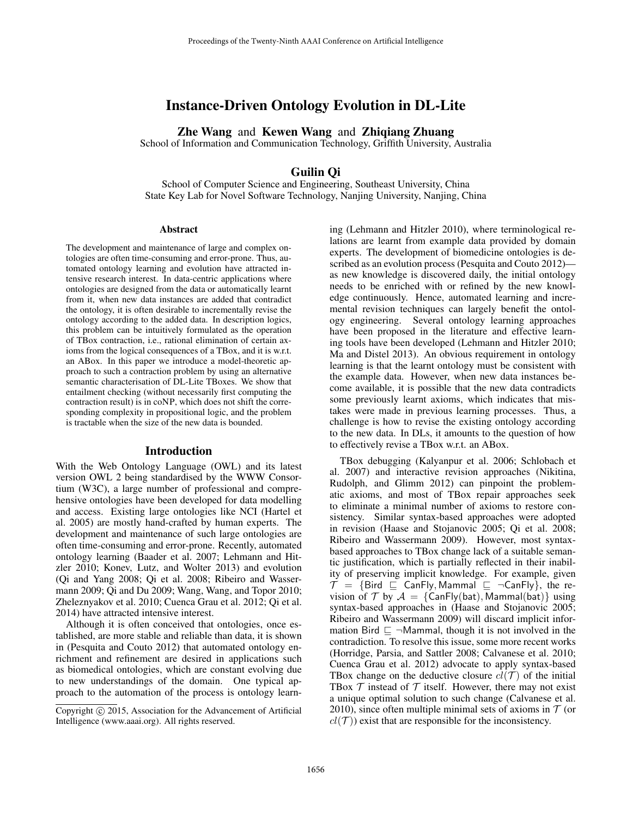# Instance-Driven Ontology Evolution in DL-Lite

Zhe Wang and Kewen Wang and Zhiqiang Zhuang

School of Information and Communication Technology, Griffith University, Australia

# Guilin Qi

School of Computer Science and Engineering, Southeast University, China State Key Lab for Novel Software Technology, Nanjing University, Nanjing, China

#### Abstract

The development and maintenance of large and complex ontologies are often time-consuming and error-prone. Thus, automated ontology learning and evolution have attracted intensive research interest. In data-centric applications where ontologies are designed from the data or automatically learnt from it, when new data instances are added that contradict the ontology, it is often desirable to incrementally revise the ontology according to the added data. In description logics, this problem can be intuitively formulated as the operation of TBox contraction, i.e., rational elimination of certain axioms from the logical consequences of a TBox, and it is w.r.t. an ABox. In this paper we introduce a model-theoretic approach to such a contraction problem by using an alternative semantic characterisation of DL-Lite TBoxes. We show that entailment checking (without necessarily first computing the contraction result) is in coNP, which does not shift the corresponding complexity in propositional logic, and the problem is tractable when the size of the new data is bounded.

#### Introduction

With the Web Ontology Language (OWL) and its latest version OWL 2 being standardised by the WWW Consortium (W3C), a large number of professional and comprehensive ontologies have been developed for data modelling and access. Existing large ontologies like NCI (Hartel et al. 2005) are mostly hand-crafted by human experts. The development and maintenance of such large ontologies are often time-consuming and error-prone. Recently, automated ontology learning (Baader et al. 2007; Lehmann and Hitzler 2010; Konev, Lutz, and Wolter 2013) and evolution (Qi and Yang 2008; Qi et al. 2008; Ribeiro and Wassermann 2009; Qi and Du 2009; Wang, Wang, and Topor 2010; Zheleznyakov et al. 2010; Cuenca Grau et al. 2012; Qi et al. 2014) have attracted intensive interest.

Although it is often conceived that ontologies, once established, are more stable and reliable than data, it is shown in (Pesquita and Couto 2012) that automated ontology enrichment and refinement are desired in applications such as biomedical ontologies, which are constant evolving due to new understandings of the domain. One typical approach to the automation of the process is ontology learning (Lehmann and Hitzler 2010), where terminological relations are learnt from example data provided by domain experts. The development of biomedicine ontologies is described as an evolution process (Pesquita and Couto 2012) as new knowledge is discovered daily, the initial ontology needs to be enriched with or refined by the new knowledge continuously. Hence, automated learning and incremental revision techniques can largely benefit the ontology engineering. Several ontology learning approaches have been proposed in the literature and effective learning tools have been developed (Lehmann and Hitzler 2010; Ma and Distel 2013). An obvious requirement in ontology learning is that the learnt ontology must be consistent with the example data. However, when new data instances become available, it is possible that the new data contradicts some previously learnt axioms, which indicates that mistakes were made in previous learning processes. Thus, a challenge is how to revise the existing ontology according to the new data. In DLs, it amounts to the question of how to effectively revise a TBox w.r.t. an ABox.

TBox debugging (Kalyanpur et al. 2006; Schlobach et al. 2007) and interactive revision approaches (Nikitina, Rudolph, and Glimm 2012) can pinpoint the problematic axioms, and most of TBox repair approaches seek to eliminate a minimal number of axioms to restore consistency. Similar syntax-based approaches were adopted in revision (Haase and Stojanovic 2005; Qi et al. 2008; Ribeiro and Wassermann 2009). However, most syntaxbased approaches to TBox change lack of a suitable semantic justification, which is partially reflected in their inability of preserving implicit knowledge. For example, given  $\mathcal{T} = \{ \text{Bird} \subseteq \text{CanFly}, \text{Mammal} \subseteq \neg \text{CanFly} \}, \text{ the re-}$ vision of T by  $A = \{CanFly(bat), Mammal(bat)\}\$ using syntax-based approaches in (Haase and Stojanovic 2005; Ribeiro and Wassermann 2009) will discard implicit information Bird  $\sqsubseteq \neg$ Mammal, though it is not involved in the contradiction. To resolve this issue, some more recent works (Horridge, Parsia, and Sattler 2008; Calvanese et al. 2010; Cuenca Grau et al. 2012) advocate to apply syntax-based TBox change on the deductive closure  $cl(\mathcal{T})$  of the initial TBox  $T$  instead of  $T$  itself. However, there may not exist a unique optimal solution to such change (Calvanese et al. 2010), since often multiple minimal sets of axioms in  $\mathcal T$  (or  $cl(\mathcal{T})$ ) exist that are responsible for the inconsistency.

Copyright (c) 2015, Association for the Advancement of Artificial Intelligence (www.aaai.org). All rights reserved.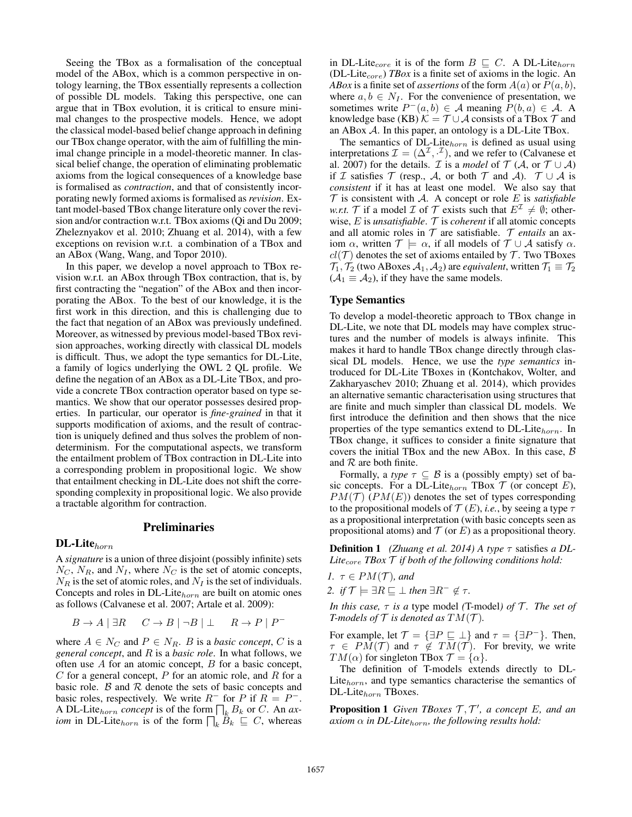Seeing the TBox as a formalisation of the conceptual model of the ABox, which is a common perspective in ontology learning, the TBox essentially represents a collection of possible DL models. Taking this perspective, one can argue that in TBox evolution, it is critical to ensure minimal changes to the prospective models. Hence, we adopt the classical model-based belief change approach in defining our TBox change operator, with the aim of fulfilling the minimal change principle in a model-theoretic manner. In classical belief change, the operation of eliminating problematic axioms from the logical consequences of a knowledge base is formalised as *contraction*, and that of consistently incorporating newly formed axioms is formalised as *revision*. Extant model-based TBox change literature only cover the revision and/or contraction w.r.t. TBox axioms (Qi and Du 2009; Zheleznyakov et al. 2010; Zhuang et al. 2014), with a few exceptions on revision w.r.t. a combination of a TBox and an ABox (Wang, Wang, and Topor 2010).

In this paper, we develop a novel approach to TBox revision w.r.t. an ABox through TBox contraction, that is, by first contracting the "negation" of the ABox and then incorporating the ABox. To the best of our knowledge, it is the first work in this direction, and this is challenging due to the fact that negation of an ABox was previously undefined. Moreover, as witnessed by previous model-based TBox revision approaches, working directly with classical DL models is difficult. Thus, we adopt the type semantics for DL-Lite, a family of logics underlying the OWL 2 QL profile. We define the negation of an ABox as a DL-Lite TBox, and provide a concrete TBox contraction operator based on type semantics. We show that our operator possesses desired properties. In particular, our operator is *fine-grained* in that it supports modification of axioms, and the result of contraction is uniquely defined and thus solves the problem of nondeterminism. For the computational aspects, we transform the entailment problem of TBox contraction in DL-Lite into a corresponding problem in propositional logic. We show that entailment checking in DL-Lite does not shift the corresponding complexity in propositional logic. We also provide a tractable algorithm for contraction.

# Preliminaries

#### $DL\text{-}Life_{horn}$

A *signature* is a union of three disjoint (possibly infinite) sets  $N_C$ ,  $N_R$ , and  $N_I$ , where  $N_C$  is the set of atomic concepts,  $N_R$  is the set of atomic roles, and  $N_I$  is the set of individuals. Concepts and roles in DL-Lite $_{horn}$  are built on atomic ones as follows (Calvanese et al. 2007; Artale et al. 2009):

$$
B \to A \mid \exists R \quad C \to B \mid \neg B \mid \bot \quad R \to P \mid P^-
$$

where  $A \in N_C$  and  $P \in N_R$ . *B* is a *basic concept*, *C* is a *general concept*, and R is a *basic role*. In what follows, we often use  $A$  for an atomic concept,  $B$  for a basic concept,  $C$  for a general concept,  $P$  for an atomic role, and  $R$  for a basic role.  $\beta$  and  $\beta$  denote the sets of basic concepts and basic roles, respectively. We write  $R^-$  for P if  $R = P^-$ . A DL-Lite<sub>horn</sub> concept is of the form  $\prod_k B_k$  or C. An *axiom* in DL-Lite<sub>horn</sub> is of the form  $\prod_k \tilde{B}_k \subseteq C$ , whereas

in DL-Lite<sub>core</sub> it is of the form  $B \subseteq C$ . A DL-Lite<sub>horn</sub> (DL-Lite<sub>core</sub>) *TBox* is a finite set of axioms in the logic. An *ABox* is a finite set of *assertions* of the form  $A(a)$  or  $P(a, b)$ , where  $a, b \in N_I$ . For the convenience of presentation, we sometimes write  $P^-(a, b) \in \mathcal{A}$  meaning  $P(b, a) \in \mathcal{A}$ . A knowledge base (KB)  $K = T \cup A$  consists of a TBox  $T$  and an ABox A. In this paper, an ontology is a DL-Lite TBox.

The semantics of DL-Lite $_{horn}$  is defined as usual using interpretations  $\mathcal{I} = (\Delta^{\mathcal{I}}, \cdot^{\mathcal{I}})$ , and we refer to (Calvanese et al. 2007) for the details. *I* is a *model* of  $T$  (*A*, or  $T \cup A$ ) if I satisfies T (resp., A, or both T and A).  $T \cup A$  is *consistent* if it has at least one model. We also say that  $\mathcal T$  is consistent with  $\mathcal A$ . A concept or role  $E$  is *satisfiable w.r.t.* T if a model I of T exists such that  $E^{\mathcal{I}} \neq \emptyset$ ; otherwise, E is *unsatisfiable*. T is *coherent* if all atomic concepts and all atomic roles in T are satisfiable. T *entails* an axiom  $\alpha$ , written  $\mathcal{T} \models \alpha$ , if all models of  $\mathcal{T} \cup \mathcal{A}$  satisfy  $\alpha$ .  $cl(\mathcal{T})$  denotes the set of axioms entailed by  $\mathcal{T}$ . Two TBoxes  $\mathcal{T}_1$ ,  $\mathcal{T}_2$  (two ABoxes  $\mathcal{A}_1$ ,  $\mathcal{A}_2$ ) are *equivalent*, written  $\mathcal{T}_1 \equiv \mathcal{T}_2$  $(A_1 \equiv A_2)$ , if they have the same models.

### Type Semantics

To develop a model-theoretic approach to TBox change in DL-Lite, we note that DL models may have complex structures and the number of models is always infinite. This makes it hard to handle TBox change directly through classical DL models. Hence, we use the *type semantics* introduced for DL-Lite TBoxes in (Kontchakov, Wolter, and Zakharyaschev 2010; Zhuang et al. 2014), which provides an alternative semantic characterisation using structures that are finite and much simpler than classical DL models. We first introduce the definition and then shows that the nice properties of the type semantics extend to  $DL\text{-}Life_{horn}$ . In TBox change, it suffices to consider a finite signature that covers the initial TBox and the new ABox. In this case,  $\beta$ and  $R$  are both finite.

Formally, a *type*  $\tau \subseteq B$  is a (possibly empty) set of basic concepts. For a DL-Lite $_{horn}$  TBox  $\mathcal T$  (or concept E),  $PM(\mathcal{T})$  ( $PM(E)$ ) denotes the set of types corresponding to the propositional models of  $\mathcal{T}(E)$ , *i.e.*, by seeing a type  $\tau$ as a propositional interpretation (with basic concepts seen as propositional atoms) and  $\mathcal T$  (or E) as a propositional theory.

Definition 1 *(Zhuang et al. 2014) A type* τ satisfies *a DL-*Lite<sub>core</sub>  $TBox \mathcal{T}$  *if both of the following conditions hold:* 

$$
1. \ \tau \in PM(\mathcal{T}), and
$$

2. if 
$$
\mathcal{T} \models \exists R \sqsubseteq \bot
$$
 then  $\exists R^{-} \notin \tau$ .

*In this case,*  $\tau$  *is a type model (T-model) of T. The set of T-models of*  $\mathcal T$  *is denoted as*  $TM(\mathcal T)$ *.* 

For example, let  $\mathcal{T} = {\exists P \sqsubseteq \bot}$  and  $\tau = {\exists P^{-}}$ . Then,  $\tau \in PM(\mathcal{T})$  and  $\tau \notin TM(\mathcal{T})$ . For brevity, we write  $TM(\alpha)$  for singleton TBox  $\mathcal{T} = {\alpha}.$ 

The definition of T-models extends directly to DL-Lite $_{horn}$ , and type semantics characterise the semantics of DL-Lite<sub>horn</sub> TBoxes.

**Proposition 1** Given TBoxes  $T, T'$ , a concept E, and an  $axiom \alpha$  *in DL-Lite*<sub>horn</sub>, the following results hold: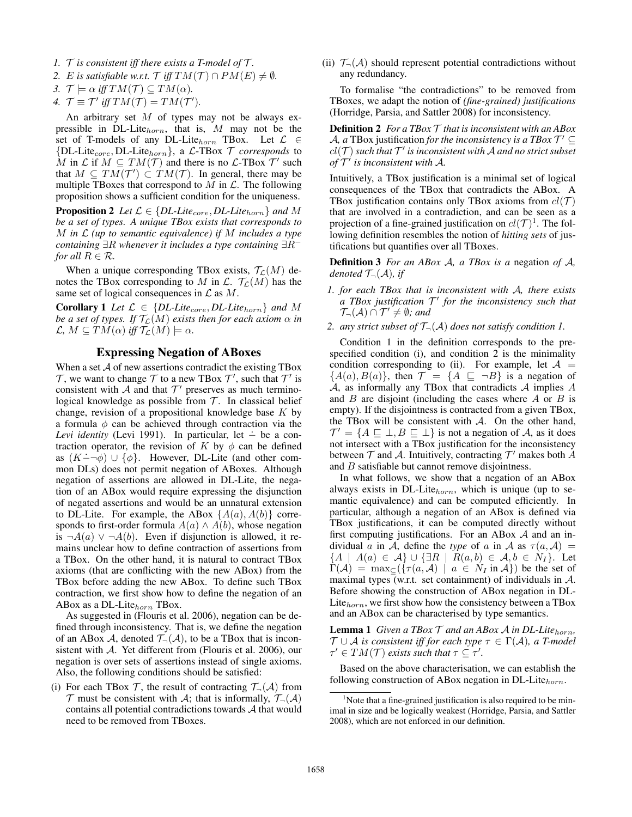- *1.*  $\mathcal T$  *is consistent iff there exists a T-model of*  $\mathcal T$ *.*
- 2. E *is satisfiable w.r.t.*  $\mathcal{T}$  *iff*  $TM(\mathcal{T}) \cap PM(E) \neq \emptyset$ *.*
- *3.*  $\mathcal{T} \models \alpha \text{ iff } TM(\mathcal{T}) \subseteq TM(\alpha)$ .
- *4.*  $\mathcal{T} \equiv \mathcal{T}'$  *iff*  $TM(\mathcal{T}) = TM(\mathcal{T}')$ *.*

An arbitrary set  $M$  of types may not be always expressible in DL-Lite $_{horn}$ , that is, M may not be the set of T-models of any DL-Lite $_{horn}$  TBox. Let  $\mathcal{L} \in$  ${DL\text{-}Lie}_{core}, DL\text{-}Lie_{horn}$ , a  $\mathcal{L}\text{-}TBox \mathcal{T}$  *corresponds* to M in L if  $M \subseteq TM(\mathcal{T})$  and there is no L-TBox  $\mathcal{T}'$  such that  $M \subseteq TM(\mathcal{T}') \subset TM(\mathcal{T})$ . In general, there may be multiple TBoxes that correspond to  $M$  in  $\mathcal{L}$ . The following proposition shows a sufficient condition for the uniqueness.

**Proposition 2** *Let*  $\mathcal{L} \in \{DL\text{-}Like_{core},DL\text{-}Like_{horn}\}$  *and* M *be a set of types. A unique TBox exists that corresponds to* M *in* L *(up to semantic equivalence) if* M *includes a type containing* ∃R *whenever it includes a type containing* ∃R<sup>−</sup> *for all*  $R \in \mathcal{R}$ *.* 

When a unique corresponding TBox exists,  $\mathcal{T}_{\mathcal{L}}(M)$  denotes the TBox corresponding to M in  $\mathcal{L}$ .  $\mathcal{T}_{\mathcal{L}}(M)$  has the same set of logical consequences in  $\mathcal L$  as  $M$ .

**Corollary 1** Let  $\mathcal{L} \in \{DL\text{-}Like_{core},DL\text{-}Like_{horn}\}$  and M *be a set of types. If*  $\mathcal{T}_{\mathcal{L}}(M)$  *exists then for each axiom*  $\alpha$  *in*  $\mathcal{L}, M \subseteq TM(\alpha)$  *iff*  $\mathcal{T}_{\mathcal{L}}(M) \models \alpha$ .

### Expressing Negation of ABoxes

When a set A of new assertions contradict the existing TBox  $\mathcal T$ , we want to change  $\mathcal T$  to a new TBox  $\mathcal T'$ , such that  $\mathcal T'$  is consistent with  $A$  and that  $T'$  preserves as much terminological knowledge as possible from  $T$ . In classical belief change, revision of a propositional knowledge base  $K$  by a formula  $\phi$  can be achieved through contraction via the *Levi identity* (Levi 1991). In particular, let – be a contraction operator, the revision of K by  $\phi$  can be defined as  $(K-\neg\phi) \cup {\phi}$ . However, DL-Lite (and other common DLs) does not permit negation of ABoxes. Although negation of assertions are allowed in DL-Lite, the negation of an ABox would require expressing the disjunction of negated assertions and would be an unnatural extension to DL-Lite. For example, the ABox  $\{A(a), A(b)\}\$ corresponds to first-order formula  $A(a) \wedge A(b)$ , whose negation is ¬ $A(a)$  ∨ ¬ $A(b)$ . Even if disjunction is allowed, it remains unclear how to define contraction of assertions from a TBox. On the other hand, it is natural to contract TBox axioms (that are conflicting with the new ABox) from the TBox before adding the new ABox. To define such TBox contraction, we first show how to define the negation of an ABox as a DL-Lite $_{horn}$  TBox.

As suggested in (Flouris et al. 2006), negation can be defined through inconsistency. That is, we define the negation of an ABox A, denoted  $\mathcal{T}_{\neg}(\mathcal{A})$ , to be a TBox that is inconsistent with A. Yet different from (Flouris et al. 2006), our negation is over sets of assertions instead of single axioms. Also, the following conditions should be satisfied:

(i) For each TBox  $\mathcal{T}$ , the result of contracting  $\mathcal{T}_{\neg}(\mathcal{A})$  from  $\mathcal T$  must be consistent with  $\mathcal A$ ; that is informally,  $\mathcal T_{\neg}(\mathcal A)$ contains all potential contradictions towards A that would need to be removed from TBoxes.

(ii)  $\mathcal{T}_{\neg}(\mathcal{A})$  should represent potential contradictions without any redundancy.

To formalise "the contradictions" to be removed from TBoxes, we adapt the notion of *(fine-grained) justifications* (Horridge, Parsia, and Sattler 2008) for inconsistency.

Definition 2 *For a TBox* T *that is inconsistent with an ABox* A, a TBox justification *for the inconsistency is a TBox*  $\mathcal{T}' \subseteq$  $cl(\mathcal{T})$  such that  $\mathcal{T}'$  is inconsistent with  $\mathcal{A}$  and no strict subset of  $\mathcal{T}'$  is inconsistent with  $\mathcal{A}$ .

Intuitively, a TBox justification is a minimal set of logical consequences of the TBox that contradicts the ABox. A TBox justification contains only TBox axioms from  $cl(\mathcal{T})$ that are involved in a contradiction, and can be seen as a projection of a fine-grained justification on  $cl(\mathcal{T})^1$ . The following definition resembles the notion of *hitting sets* of justifications but quantifies over all TBoxes.

Definition 3 *For an ABox* A*, a TBox is a* negation *of* A*, denoted*  $\mathcal{T}_{\neg}(\mathcal{A})$ *, if* 

- *1. for each TBox that is inconsistent with* A*, there exists a TBox justification* T 0 *for the inconsistency such that*  $\mathcal{T}_{\neg}(\mathcal{A}) \cap \mathcal{T}' \neq \emptyset$ ; and
- *2. any strict subset of* T¬(A) *does not satisfy condition 1.*

Condition 1 in the definition corresponds to the prespecified condition (i), and condition 2 is the minimality condition corresponding to (ii). For example, let  $A =$  ${A(a), B(a)}$ , then  $\mathcal{T} = {A \subseteq \neg B}$  is a negation of  $A$ , as informally any TBox that contradicts  $A$  implies  $A$ and  $B$  are disjoint (including the cases where  $A$  or  $B$  is empty). If the disjointness is contracted from a given TBox, the TBox will be consistent with  $\mathcal{A}$ . On the other hand,  $\mathcal{T}' = \{ A \sqsubseteq \bot, B \sqsubseteq \bot \}$  is not a negation of A, as it does not intersect with a TBox justification for the inconsistency between  $T$  and  $A$ . Intuitively, contracting  $T'$  makes both  $\tilde{A}$ and B satisfiable but cannot remove disjointness.

In what follows, we show that a negation of an ABox always exists in DL-Lite $_{horn}$ , which is unique (up to semantic equivalence) and can be computed efficiently. In particular, although a negation of an ABox is defined via TBox justifications, it can be computed directly without first computing justifications. For an ABox  $A$  and an individual a in A, define the *type* of a in A as  $\tau(a, A)$  =  ${A \mid A(a) \in \mathcal{A}} \cup {\exists R \mid R(a,b) \in \mathcal{A}, b \in N_I}.$  Let  $\Gamma(\mathcal{A}) = \max_{\mathcal{C}} (\{\tau(a, \mathcal{A}) \mid a \in N_I \text{ in } \mathcal{A}\})$  be the set of maximal types (w.r.t. set containment) of individuals in A. Before showing the construction of ABox negation in DL-Lite<sub>horn</sub>, we first show how the consistency between a TBox and an ABox can be characterised by type semantics.

**Lemma 1** *Given a TBox*  $T$  *and an ABox A in DL-Lite*<sub>horn</sub>,  $\mathcal{T} \cup \mathcal{A}$  *is consistent iff for each type*  $\tau \in \Gamma(\mathcal{A})$ *, a T-model*  $\tau' \in TM(\mathcal{T})$  *exists such that*  $\tau \subseteq \tau'.$ 

Based on the above characterisation, we can establish the following construction of ABox negation in DL-Lite $_{horn}$ .

 $1$ Note that a fine-grained justification is also required to be minimal in size and be logically weakest (Horridge, Parsia, and Sattler 2008), which are not enforced in our definition.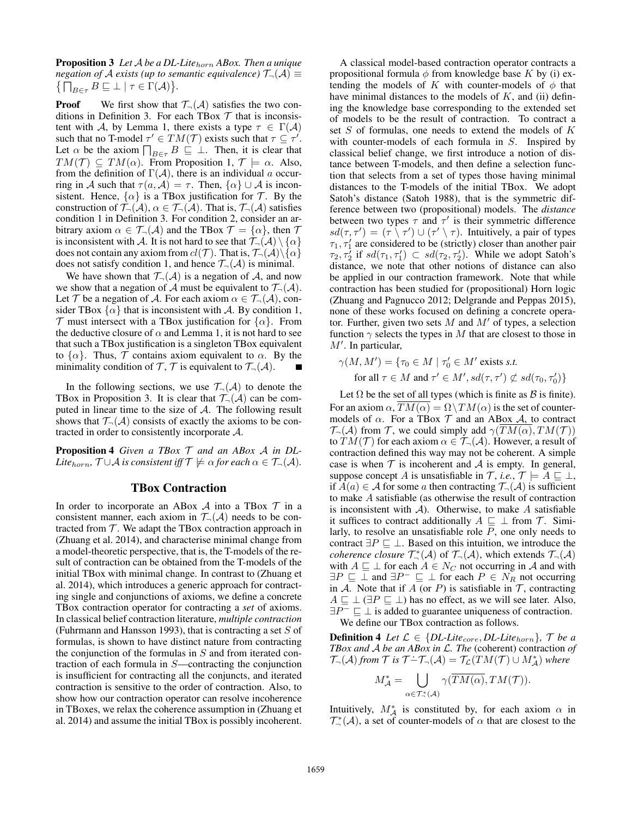Proposition 3 *Let* A *be a DL-Lite*horn *ABox. Then a unique negation of* A *exists (up to semantic equivalence)*  $\mathcal{T}_{\neg}(\mathcal{A}) \equiv$  $\{\bigcap_{B\in\tau}B\sqsubseteq\bot\mid\tau\in\Gamma(\mathcal{A})\}.$ 

**Proof** We first show that  $\mathcal{T}_{\neg}(\mathcal{A})$  satisfies the two conditions in Definition 3. For each TBox  $\mathcal T$  that is inconsistent with A, by Lemma 1, there exists a type  $\tau \in \Gamma(\mathcal{A})$ such that no T-model  $\tau' \in TM(\mathcal{T})$  exists such that  $\tau \subseteq \tau'$ . Let  $\alpha$  be the axiom  $\prod_{B \in \tau} B \subseteq \bot$ . Then, it is clear that  $TM(\mathcal{T}) \subseteq TM(\alpha)$ . From Proposition 1,  $\mathcal{T} \models \alpha$ . Also, from the definition of  $\Gamma(\mathcal{A})$ , there is an individual a occurring in A such that  $\tau(a, \mathcal{A}) = \tau$ . Then,  $\{\alpha\} \cup \mathcal{A}$  is inconsistent. Hence,  $\{\alpha\}$  is a TBox justification for T. By the construction of  $\mathcal{T}_{\neg}(\mathcal{A}), \alpha \in \mathcal{T}_{\neg}(\mathcal{A})$ . That is,  $\mathcal{T}_{\neg}(\mathcal{A})$  satisfies condition 1 in Definition 3. For condition 2, consider an arbitrary axiom  $\alpha \in \mathcal{T}_{\neg}(\mathcal{A})$  and the TBox  $\mathcal{T} = {\alpha}$ , then  $\mathcal{T}$ is inconsistent with A. It is not hard to see that  $\mathcal{T}_{\neg}(\mathcal{A}) \setminus \{\alpha\}$ does not contain any axiom from  $cl(\mathcal{T})$ . That is,  $\mathcal{T}_{\neg}(\mathcal{A}) \setminus {\alpha}$ does not satisfy condition 1, and hence  $\mathcal{T}_{\neg}(\mathcal{A})$  is minimal.

We have shown that  $\mathcal{T}_{\neg}(\mathcal{A})$  is a negation of  $\mathcal{A}$ , and now we show that a negation of A must be equivalent to  $\mathcal{T}_{\neg}(\mathcal{A})$ . Let T be a negation of A. For each axiom  $\alpha \in \mathcal{T}_{\neg}(\mathcal{A})$ , consider TBox  $\{\alpha\}$  that is inconsistent with A. By condition 1, T must intersect with a TBox justification for  $\{\alpha\}$ . From the deductive closure of  $\alpha$  and Lemma 1, it is not hard to see that such a TBox justification is a singleton TBox equivalent to  $\{\alpha\}$ . Thus,  $\mathcal T$  contains axiom equivalent to  $\alpha$ . By the minimality condition of  $\mathcal{T}, \mathcal{T}$  is equivalent to  $\mathcal{T}_{\neg}(\mathcal{A})$ .

In the following sections, we use  $\mathcal{T}_{\neg}(\mathcal{A})$  to denote the TBox in Proposition 3. It is clear that  $\mathcal{T}_{\neg}(\mathcal{A})$  can be computed in linear time to the size of A. The following result shows that  $\mathcal{T}_{\neg}(\mathcal{A})$  consists of exactly the axioms to be contracted in order to consistently incorporate A.

Proposition 4 *Given a TBox* T *and an ABox* A *in DL-Lite*<sub>horn</sub>,  $\mathcal{T} \cup \mathcal{A}$  *is consistent iff*  $\mathcal{T} \not\models \alpha$  *for each*  $\alpha \in \mathcal{T}_{\neg}(\mathcal{A})$ *.* 

# TBox Contraction

In order to incorporate an ABox  $A$  into a TBox  $T$  in a consistent manner, each axiom in  $\mathcal{T}_{\neg}(\mathcal{A})$  needs to be contracted from  $T$ . We adapt the TBox contraction approach in (Zhuang et al. 2014), and characterise minimal change from a model-theoretic perspective, that is, the T-models of the result of contraction can be obtained from the T-models of the initial TBox with minimal change. In contrast to (Zhuang et al. 2014), which introduces a generic approach for contracting single and conjunctions of axioms, we define a concrete TBox contraction operator for contracting a *set* of axioms. In classical belief contraction literature, *multiple contraction* (Fuhrmann and Hansson 1993), that is contracting a set  $S$  of formulas, is shown to have distinct nature from contracting the conjunction of the formulas in  $S$  and from iterated contraction of each formula in S—contracting the conjunction is insufficient for contracting all the conjuncts, and iterated contraction is sensitive to the order of contraction. Also, to show how our contraction operator can resolve incoherence in TBoxes, we relax the coherence assumption in (Zhuang et al. 2014) and assume the initial TBox is possibly incoherent.

A classical model-based contraction operator contracts a propositional formula  $\phi$  from knowledge base K by (i) extending the models of K with counter-models of  $\phi$  that have minimal distances to the models of  $K$ , and (ii) defining the knowledge base corresponding to the extended set of models to be the result of contraction. To contract a set S of formulas, one needs to extend the models of K with counter-models of each formula in S. Inspired by classical belief change, we first introduce a notion of distance between T-models, and then define a selection function that selects from a set of types those having minimal distances to the T-models of the initial TBox. We adopt Satoh's distance (Satoh 1988), that is the symmetric difference between two (propositional) models. The *distance* between two types  $\tau$  and  $\tau'$  is their symmetric difference  $sd(\tau, \tau') = (\tau \setminus \tau') \cup (\tau' \setminus \tau)$ . Intuitively, a pair of types  $\tau_1, \tau_1'$  are considered to be (strictly) closer than another pair  $\tau_2, \tau_2^{\prime}$  if  $sd(\tau_1, \tau_1^{\prime}) \subset sd(\tau_2, \tau_2^{\prime})$ . While we adopt Satoh's distance, we note that other notions of distance can also be applied in our contraction framework. Note that while contraction has been studied for (propositional) Horn logic (Zhuang and Pagnucco 2012; Delgrande and Peppas 2015), none of these works focused on defining a concrete operator. Further, given two sets  $M$  and  $M'$  of types, a selection function  $\gamma$  selects the types in M that are closest to those in  $M'$ . In particular,

$$
\gamma(M, M') = \{ \tau_0 \in M \mid \tau'_0 \in M' \text{ exists } s.t.
$$
  
for all  $\tau \in M \text{ and } \tau' \in M', sd(\tau, \tau') \not\subset sd(\tau_0, \tau'_0) \}$ 

Let  $\Omega$  be the set of all types (which is finite as  $\beta$  is finite). For an axiom  $\alpha$ ,  $\overline{TM(\alpha)} = \Omega \setminus TM(\alpha)$  is the set of countermodels of  $\alpha$ . For a TBox  $\mathcal T$  and an ABox  $\mathcal A$ , to contract  $\mathcal{T}_{\neg}(\mathcal{A})$  from  $\mathcal{T}$ , we could simply add  $\gamma(TM(\alpha), TM(\mathcal{T}))$ to  $TM(\mathcal{T})$  for each axiom  $\alpha \in \mathcal{T}_{\neg}(\mathcal{A})$ . However, a result of contraction defined this way may not be coherent. A simple case is when  $T$  is incoherent and  $A$  is empty. In general, suppose concept A is unsatisfiable in  $\mathcal{T}$ , *i.e.*,  $\mathcal{T} \models A \sqsubseteq \bot$ , if  $A(a) \in \mathcal{A}$  for some a then contracting  $\mathcal{T}_{\neg}(\mathcal{A})$  is sufficient to make A satisfiable (as otherwise the result of contraction is inconsistent with  $A$ ). Otherwise, to make A satisfiable it suffices to contract additionally  $A \sqsubseteq \perp$  from  $\mathcal{T}$ . Similarly, to resolve an unsatisfiable role P, one only needs to contract  $\exists P \sqsubseteq \bot$ . Based on this intuition, we introduce the *coherence closure*  $\mathcal{T}_{\neg}^*(\mathcal{A})$  of  $\mathcal{T}_{\neg}(\mathcal{A})$ , which extends  $\mathcal{T}_{\neg}(\mathcal{A})$ with  $A \sqsubseteq \perp$  for each  $A \in N_C$  not occurring in A and with  $\exists P \sqsubseteq \bot$  and  $\exists P^- \sqsubseteq \bot$  for each  $P \in N_R$  not occurring in A. Note that if A (or P) is satisfiable in  $\mathcal T$ , contracting  $A \sqsubseteq \perp (\exists P \sqsubseteq \perp)$  has no effect, as we will see later. Also,  $\exists P^-\sqsubseteq \bot$  is added to guarantee uniqueness of contraction. We define our TBox contraction as follows.

**Definition 4** *Let*  $\mathcal{L} \in \{DL\text{-}Like_{core},DL\text{-}Like_{horn}\}, \mathcal{T}$  *be a TBox and* A *be an ABox in* L*. The* (coherent) contraction *of* T<sub>¬</sub>(A) from T is  $T$  - $T$ <sub>¬</sub>(A) =  $T_{\mathcal{L}}(TM(T) \cup M_A^*)$  where

$$
M_{\mathcal{A}}^* = \bigcup_{\alpha \in \mathcal{T}^*_\neg(\mathcal{A})} \gamma(\overline{TM(\alpha)}, TM(\mathcal{T})).
$$

Intuitively,  $M^*_{\mathcal{A}}$  is constituted by, for each axiom  $\alpha$  in  $\mathcal{T}_{\neg}^*(\mathcal{A})$ , a set of counter-models of  $\alpha$  that are closest to the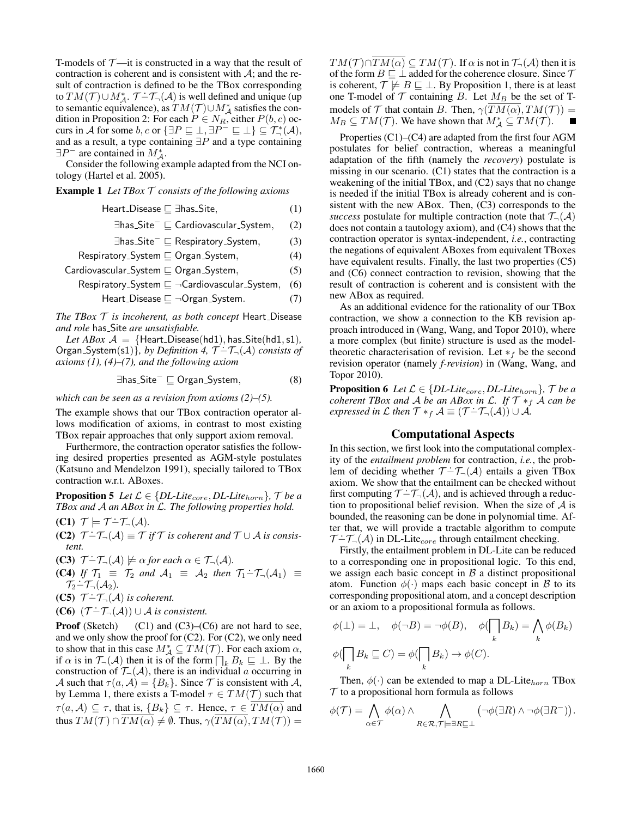T-models of  $\mathcal{T}$ —it is constructed in a way that the result of contraction is coherent and is consistent with  $A$ ; and the result of contraction is defined to be the TBox corresponding to  $TM(\mathcal{T}) \cup M_{\mathcal{A}}^*$ .  $\mathcal{T} - \mathcal{T}_{\neg}(\mathcal{A})$  is well defined and unique (up to semantic equivalence), as  $TM(\mathcal{T})\cup M_\mathcal{A}^*$  satisfies the condition in Proposition 2: For each  $P \in N_R$ , either  $P(b, c)$  occurs in A for some b, c or  $\{\exists P \sqsubseteq \bot, \exists P^-\sqsubseteq \bot\} \subseteq \mathcal{T}^*_\neg(\mathcal{A}),$ and as a result, a type containing  $\exists P$  and a type containing  $\exists P^-$  are contained in  $M^*_{\mathcal{A}}$ .

Consider the following example adapted from the NCI ontology (Hartel et al. 2005).

Example 1 *Let TBox* T *consists of the following axioms*

$$
Heart\_Disease \sqsubseteq \exists has\_Site,
$$
\n(1)

∃has\_Site<sup>-</sup> ⊆ Cardiovascular\_System, (2)

$$
\exists \mathsf{has}\_\mathsf{Site}^- \sqsubseteq \mathsf{Respiratory}\_\mathsf{System},\tag{3}
$$

$$
\mathsf{Respiratory}\_\mathsf{System}\sqsubseteq\mathsf{Organ}\_\mathsf{System},\tag{4}
$$

Cardiovascular
$$
\text{Cardiovascular}\_\text{System} \sqsubseteq \text{Organ}\_\text{System}, \tag{5}
$$

$$
\sf{Respiratory\_System} \sqsubseteq \neg Cardiovascular\_System, \quad (6)
$$

$$
Heart\_Disease \sqsubseteq \neg Organ\_System. \tag{7}
$$

*The TBox*  $T$  *is incoherent, as both concept* Heart\_Disease *and role* has Site *are unsatisfiable.*

*Let ABox*  $A = \{Heat\_Disease(hd1), has\_Site(hd1, s1),\}$  $Dec ABox A = \{ \text{real} \cup \text{Disease}(\text{act}), \text{has} \cup \text{tree}(\text{act}, \text{st}), \text{Organ-System}(\text{st}) \}, by Definition 4, \mathcal{T} - \mathcal{T}_{\neg}(A) \text{ consists of } \mathcal{T}_{\neg}(A) \text{ consists of } \mathcal{T}_{\neg}(A) \text{ consists of } \mathcal{T}_{\neg}(A) \text{ consists of } \mathcal{T}_{\neg}(A) \text{ exists of } \mathcal{T}_{\neg}(A) \text{ exists of } \mathcal{T}_{\neg}(A) \text{ exists of } \mathcal{T}_{\neg}(A) \text{ exists of } \mathcal{T}_{\neg}(A) \text{ exists of } \mathcal{T$ *axioms (1), (4)–(7), and the following axiom*

$$
\exists \mathsf{has}\_\mathsf{Site}^- \sqsubseteq \mathsf{Organ}\_\mathsf{System},\tag{8}
$$

*which can be seen as a revision from axioms (2)–(5).*

The example shows that our TBox contraction operator allows modification of axioms, in contrast to most existing TBox repair approaches that only support axiom removal.

Furthermore, the contraction operator satisfies the following desired properties presented as AGM-style postulates (Katsuno and Mendelzon 1991), specially tailored to TBox contraction w.r.t. ABoxes.

**Proposition 5** *Let*  $\mathcal{L} \in \{DL\text{-}Like_{core},DL\text{-}Like_{horn}\}, \mathcal{T}$  *be a TBox and* A *an ABox in* L*. The following properties hold.*

- $(C1)$   $\mathcal{T} \models \mathcal{T} \dot{-} \mathcal{T}_{\neg}(\mathcal{A})$ .
- $($ **C2** $)$   $\mathcal{T}$   $\div$   $\mathcal{T}_{\neg}$   $(\mathcal{A})$   $\equiv$   $\mathcal{T}$  *if*  $\mathcal{T}$  *is coherent and*  $\mathcal{T}$  ∪  $\mathcal{A}$  *is consistent.*
- **(C3)**  $\mathcal{T} \dot{-} \mathcal{T}_{\neg}(\mathcal{A}) \not\models \alpha \text{ for each } \alpha \in \mathcal{T}_{\neg}(\mathcal{A})$ .
- (C4) *If*  $\mathcal{T}_1 \equiv \mathcal{T}_2$  *and*  $\mathcal{A}_1 \equiv \mathcal{A}_2$  *then*  $\mathcal{T}_1 \dot{-} \mathcal{T}_-(\mathcal{A}_1) \equiv$  $\mathcal{T}_2 - \mathcal{T}_-(\mathcal{A}_2)$ .
- $(\mathbf{C5}) \mathcal{T} \dot{-} \mathcal{T}_{\neg}(\mathcal{A})$  *is coherent.*
- $(C6)$   $(\mathcal{T} \dot{-} \mathcal{T}_{\neg}(\mathcal{A})) \cup \mathcal{A}$  *is consistent.*

**Proof** (Sketch) (C1) and (C3)–(C6) are not hard to see, and we only show the proof for  $(C2)$ . For  $(C2)$ , we only need to show that in this case  $M^*_{\mathcal{A}} \subseteq TM(\mathcal{T})$ . For each axiom  $\alpha$ , if  $\alpha$  is in  $\mathcal{T}_{\neg}(\mathcal{A})$  then it is of the form  $\bigcap_{k} B_k \sqsubseteq \bot$ . By the construction of  $\mathcal{T}_{\neg}(\mathcal{A})$ , there is an individual a occurring in A such that  $\tau(a, \mathcal{A}) = \{B_k\}$ . Since T is consistent with A, by Lemma 1, there exists a T-model  $\tau \in TM(\mathcal{T})$  such that  $\tau(a, A) \subseteq \tau$ , that is,  $\{B_k\} \subseteq \tau$ . Hence,  $\tau \in \overline{TM(\alpha)}$  and thus  $TM(\mathcal{T}) \cap \overline{TM(\alpha)} \neq \emptyset$ . Thus,  $\gamma(\overline{TM(\alpha)}, TM(\mathcal{T})) =$ 

 $TM(\mathcal{T}) \cap TM(\alpha) \subseteq TM(\mathcal{T})$ . If  $\alpha$  is not in  $\mathcal{T}_{\neg}(\mathcal{A})$  then it is of the form  $B \sqsubseteq \perp$  added for the coherence closure. Since  $\mathcal T$ is coherent,  $\mathcal{T} \not\models B \sqsubseteq \bot$ . By Proposition 1, there is at least one T-model of  $T$  containing B. Let  $M_B$  be the set of Tmodels of T that contain B. Then,  $\gamma(\overline{TM(\alpha)}, TM(\mathcal{T})) =$  $M_B \subseteq TM(\mathcal{T})$ . We have shown that  $M_A^* \subseteq TM(\mathcal{T})$ .

Properties (C1)–(C4) are adapted from the first four AGM postulates for belief contraction, whereas a meaningful adaptation of the fifth (namely the *recovery*) postulate is missing in our scenario. (C1) states that the contraction is a weakening of the initial TBox, and (C2) says that no change is needed if the initial TBox is already coherent and is consistent with the new ABox. Then, (C3) corresponds to the *success* postulate for multiple contraction (note that  $\mathcal{T}_{\neg}(\mathcal{A})$ does not contain a tautology axiom), and (C4) shows that the contraction operator is syntax-independent, *i.e.*, contracting the negations of equivalent ABoxes from equivalent TBoxes have equivalent results. Finally, the last two properties (C5) and (C6) connect contraction to revision, showing that the result of contraction is coherent and is consistent with the new ABox as required.

As an additional evidence for the rationality of our TBox contraction, we show a connection to the KB revision approach introduced in (Wang, Wang, and Topor 2010), where a more complex (but finite) structure is used as the modeltheoretic characterisation of revision. Let  $*_f$  be the second revision operator (namely *f-revision*) in (Wang, Wang, and Topor 2010).

**Proposition 6** *Let*  $\mathcal{L} \in \{DL\text{-}Like_{core},DL\text{-}Like_{horn}\}$ ,  $\mathcal{T}$  *be a coherent TBox and* A *be an ABox in* L. If  $\mathcal{T} *_{f} \mathcal{A}$  *can be expressed in* L *then*  $\mathcal{T} *_{f} A \equiv (\mathcal{T} - \mathcal{T}_{\neg}(A)) \cup A$ *.* 

### Computational Aspects

In this section, we first look into the computational complexity of the *entailment problem* for contraction, *i.e.*, the problem of deciding whether  $\mathcal{T} - \mathcal{T}_{\neg}(\mathcal{A})$  entails a given TBox axiom. We show that the entailment can be checked without first computing  $\mathcal{T} - \mathcal{T}_{\neg}(\mathcal{A})$ , and is achieved through a reduction to propositional belief revision. When the size of  $A$  is bounded, the reasoning can be done in polynomial time. After that, we will provide a tractable algorithm to compute  $T-\mathcal{T}_{-}(\mathcal{A})$  in DL-Lite<sub>core</sub> through entailment checking.

Firstly, the entailment problem in DL-Lite can be reduced to a corresponding one in propositional logic. To this end, we assign each basic concept in  $B$  a distinct propositional atom. Function  $\phi(\cdot)$  maps each basic concept in B to its corresponding propositional atom, and a concept description or an axiom to a propositional formula as follows.

$$
\phi(\bot) = \bot, \quad \phi(\neg B) = \neg \phi(B), \quad \phi(\bigcap_k B_k) = \bigwedge_k \phi(B_k)
$$

$$
\phi(\bigcap_k B_k \sqsubseteq C) = \phi(\bigcap_k B_k) \to \phi(C).
$$

Then,  $\phi(\cdot)$  can be extended to map a DL-Lite<sub>horn</sub> TBox  $T$  to a propositional horn formula as follows

$$
\phi(\mathcal{T}) = \bigwedge_{\alpha \in \mathcal{T}} \phi(\alpha) \wedge \bigwedge_{R \in \mathcal{R}, \mathcal{T} \models \exists R \sqsubseteq \bot} (\neg \phi(\exists R) \wedge \neg \phi(\exists R^{-})).
$$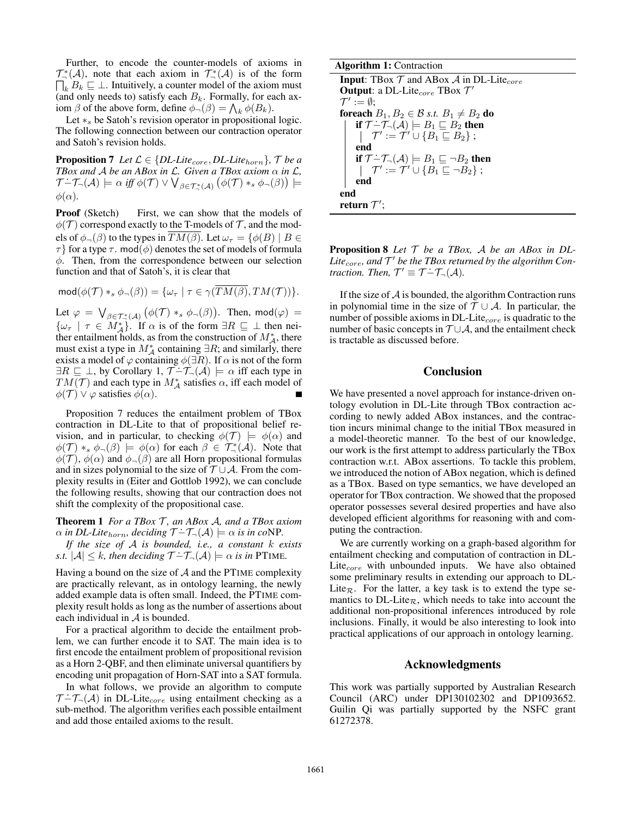Further, to encode the counter-models of axioms in  $\mathcal{T}_{\neg}^{*}(\mathcal{A})$ , note that each axiom in  $\mathcal{T}_{\neg}^{*}$  $\mathcal{T}_{\neg}^*(\mathcal{A})$ , note that each axiom in  $\mathcal{T}_{\neg}^*(\mathcal{A})$  is of the form  $\bigcap_k B_k \sqsubseteq \bot$ . Intuitively, a counter model of the axiom must (and only needs to) satisfy each  $B_k$ . Formally, for each axiom  $\beta$  of the above form, define  $\phi_{-}(\beta) = \bigwedge_{k} \phi(B_k)$ .

Let  $*_s$  be Satoh's revision operator in propositional logic. The following connection between our contraction operator and Satoh's revision holds.

**Proposition 7** Let  $\mathcal{L} \in \{DL\text{-}Like_{core},DL\text{-}Like_{horn}\}$ ,  $\mathcal{T}$  be a *TBox and A be an ABox in*  $\mathcal{L}$ *. Given a TBox axiom*  $\alpha$  *in*  $\mathcal{L}$ *, T* –  $\mathcal{T}$  –  $(\mathcal{A}) \models \alpha$  *iff*  $\phi(\mathcal{T}) \vee \bigvee_{\beta \in \mathcal{T}^*_{+}(\mathcal{A})} (\phi(\mathcal{T}) *_{s} \phi_{-}(\beta)) \models$  $\phi(\alpha)$ .

**Proof** (Sketch) First, we can show that the models of  $\phi(\mathcal{T})$  correspond exactly to the T-models of  $\mathcal{T}$ , and the models of  $\phi_{\neg}(\beta)$  to the types in  $TM(\beta)$ . Let  $\omega_{\tau} = {\phi(B) | B \in \mathcal{L}}$  $\tau$ } for a type  $\tau$ . mod( $\phi$ ) denotes the set of models of formula  $\phi$ . Then, from the correspondence between our selection function and that of Satoh's, it is clear that

$$
\operatorname{mod}(\phi(\mathcal{T}) *_{s} \phi_{\neg}(\beta)) = {\omega_{\tau} | \tau \in \gamma(TM(\beta), TM(\mathcal{T})) }.
$$

Let  $\varphi = \bigvee_{\beta \in \mathcal{T}_{+}^{*}(\mathcal{A})} \big(\phi(\mathcal{T}) *_{s} \phi_{\neg}(\beta)\big)$ . Then,  $\mathsf{mod}(\varphi) =$  $\{\omega_{\tau} \mid \tau \in M_{\mathcal{A}}^*\}.$  If  $\alpha$  is of the form  $\exists R \sqsubseteq \bot$  then neither entailment holds, as from the construction of  $M_A^*$ , there must exist a type in  $M_A^*$  containing  $\exists R$ ; and similarly, there exists a model of  $\varphi$  containing  $\phi(\exists R)$ . If  $\alpha$  is not of the form  $\exists R \sqsubseteq \bot$ , by Corollary 1,  $\mathcal{T}$  - $\mathcal{T}_{\neg}$  ( $\mathcal{A}$ )  $\models \alpha$  iff each type in  $TM(\mathcal{T})$  and each type in  $M^*_{\mathcal{A}}$  satisfies  $\alpha$ , iff each model of  $\phi(\mathcal{T}) \vee \varphi$  satisfies  $\phi(\alpha)$ .

Proposition 7 reduces the entailment problem of TBox contraction in DL-Lite to that of propositional belief revision, and in particular, to checking  $\phi(\mathcal{T}) \models \phi(\alpha)$  and  $\phi(\mathcal{T}) *_{s} \phi_{\neg}(\beta) \models \phi(\alpha)$  for each  $\beta \in \mathcal{T}_{\neg}^{*}(\mathcal{A})$ . Note that  $\phi(\mathcal{T})$ ,  $\phi(\alpha)$  and  $\phi_{\neg}(\beta)$  are all Horn propositional formulas and in sizes polynomial to the size of  $T \cup A$ . From the complexity results in (Eiter and Gottlob 1992), we can conclude the following results, showing that our contraction does not shift the complexity of the propositional case.

Theorem 1 *For a TBox* T *, an ABox* A*, and a TBox axiom*  $\alpha$  *in DL-Lite<sub>horn</sub>*, deciding  $\mathcal{T}$  – $\mathcal{T}_{\neg}(\mathcal{A}) \models \alpha$  *is in coNP.* 

*If the size of* A *is bounded, i.e., a constant* k *exists s.t.*  $|A| \leq k$ , then deciding  $\mathcal{T} - \mathcal{T}_{\neg}(A) \models \alpha$  is in PTIME.

Having a bound on the size of  $A$  and the PTIME complexity are practically relevant, as in ontology learning, the newly added example data is often small. Indeed, the PTIME complexity result holds as long as the number of assertions about each individual in A is bounded.

For a practical algorithm to decide the entailment problem, we can further encode it to SAT. The main idea is to first encode the entailment problem of propositional revision as a Horn 2-QBF, and then eliminate universal quantifiers by encoding unit propagation of Horn-SAT into a SAT formula.

In what follows, we provide an algorithm to compute  $\mathcal{T}$  - $\mathcal{T}_{\neg}(\mathcal{A})$  in DL-Lite<sub>core</sub> using entailment checking as a sub-method. The algorithm verifies each possible entailment and add those entailed axioms to the result.

**Input:** TBox  $T$  and ABox  $A$  in DL-Lite<sub>core</sub> **Output:** a DL-Lite<sub>core</sub> TBox  $\mathcal{T}'$  $\mathcal{T}':=\emptyset;$ foreach  $B_1, B_2 \in \mathcal{B}$  *s.t.*  $B_1 \neq B_2$  do **if**  $\mathcal{T}$  − $\mathcal{T}_{\neg}(\mathcal{A})$   $\models B_1 ⊆ B_2$  then  $\mathcal{T}' \coloneqq \mathcal{T}' \cup \{B_1 \sqsubseteq B_2\}$  ; end if  $\mathcal{T} \dot{-} \mathcal{T}_{\neg}(\mathcal{A}) \models B_1 \sqsubseteq \neg B_2$  then  $\mathcal{T}' \coloneqq \mathcal{T}' \cup \{B_1 \sqsubseteq \neg B_2\}$  ; end end return  $\mathcal{T}^{\prime}$ ;

Proposition 8 *Let* T *be a TBox,* A *be an ABox in DL-*Lite<sub>core</sub>, and T<sup>'</sup> be the TBox returned by the algorithm Con- $\mathcal{L}^{\text{true}}_{\text{core}}$ , and  $\mathcal{T} \text{ to the flow real}$ <br>traction. Then,  $\mathcal{T}' \equiv \mathcal{T} - \mathcal{T}_{\neg}(\mathcal{A})$ .

If the size of  $A$  is bounded, the algorithm Contraction runs in polynomial time in the size of  $T \cup A$ . In particular, the number of possible axioms in  $DL$ -Lite<sub>core</sub> is quadratic to the number of basic concepts in  $T \cup A$ , and the entailment check is tractable as discussed before.

### Conclusion

We have presented a novel approach for instance-driven ontology evolution in DL-Lite through TBox contraction according to newly added ABox instances, and the contraction incurs minimal change to the initial TBox measured in a model-theoretic manner. To the best of our knowledge, our work is the first attempt to address particularly the TBox contraction w.r.t. ABox assertions. To tackle this problem, we introduced the notion of ABox negation, which is defined as a TBox. Based on type semantics, we have developed an operator for TBox contraction. We showed that the proposed operator possesses several desired properties and have also developed efficient algorithms for reasoning with and computing the contraction.

We are currently working on a graph-based algorithm for entailment checking and computation of contraction in DL-Lite $_{core}$  with unbounded inputs. We have also obtained some preliminary results in extending our approach to DL-Lite<sub>R</sub>. For the latter, a key task is to extend the type semantics to DL-Lite<sub> $\mathcal{R}$ </sub>, which needs to take into account the additional non-propositional inferences introduced by role inclusions. Finally, it would be also interesting to look into practical applications of our approach in ontology learning.

#### Acknowledgments

This work was partially supported by Australian Research Council (ARC) under DP130102302 and DP1093652. Guilin Qi was partially supported by the NSFC grant 61272378.